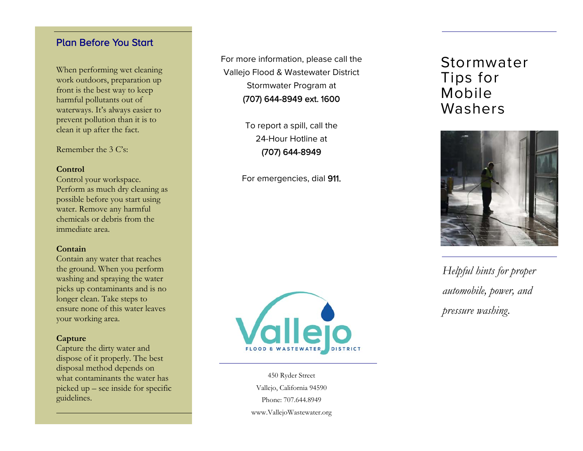### Plan Before You Start

When performing wet cleaning work outdoors, preparation up front is the best way to keep harmful pollutants out of waterways. It's always easier to prevent pollution than it is to clean it up after the fact.

Remember the 3 C's:

#### **Control**

Control your workspace. Perform as much dry cleaning as possible before you start using water. Remove any harmful chemicals or debris from the immediate area.

#### **Contain**

Contain any water that reaches the ground. When you perform washing and spraying the water picks up contaminants and is no longer clean. Take steps to ensure none of this water leaves your working area.

#### **Capture**

Capture the dirty water and dispose of it properly. The best disposal method depends on what contaminants the water has picked up – see inside for specific guidelines.

For more information, please call the Vallejo Flood & Wastewater District Stormwater Program at (707) 644-8949 ext. 1600

> To report a spill, call the 24-Hour Hotline at (707) 644-8949

For emergencies, dial 911.



450 Ryder Street Vallejo, California 94590 Phone: 707.644.8949 www.VallejoWastewater.org

## Stormwater Tips for Mobile Washers



*Helpful hints for proper automobile, power, and pressure washing.*